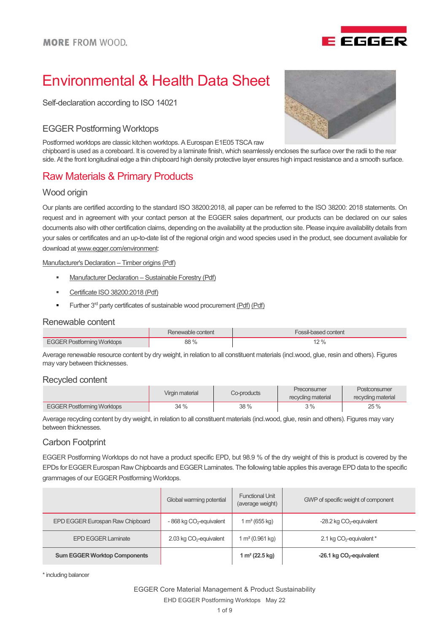

# Environmental & Health Data Sheet

Self-declaration according to ISO 14021

### EGGER Postforming Worktops

Postformed worktops are classic kitchen worktops. A Eurospan E1E05 TSCA raw

chipboard is used as a coreboard. It is covered by a laminate finish, which seamlessly encloses the surface over the radii to the rear side. At the front longitudinal edge a thin chipboard high density protective layer ensures high impact resistance and a smooth surface.

# Raw Materials & Primary Products

### Wood origin

Our plants are certified according to the standard ISO 38200:2018, all paper can be referred to the ISO 38200: 2018 statements. On request and in agreement with your contact person at the EGGER sales department, our products can be declared on our sales documents also with other certification claims, depending on the availability at the production site. Please inquire availability details from your sales or certificates and an up-to-date list of the regional origin and wood species used in the product, see document available for download at www.egger.com/environment:

Manufacturer's Declaration – Timber origins (Pdf)

- **Manufacturer Declaration Sustainable Forestry (Pdf)**
- Certificate ISO 38200:2018 (Pdf)
- Further 3<sup>rd</sup> party certificates of sustainable wood procurement (Pdf) (Pdf)

#### Renewable content

|                      | content<br>Renewable | l content  |
|----------------------|----------------------|------------|
| $.$ Postforming<br>. | 88 %<br>$ -$         | . റ.<br>70 |

Average renewable resource content by dry weight, in relation to all constituent materials (incl.wood, glue, resin and others). Figures may vary between thicknesses.

#### Recycled content

|                                   | Virgin material | Co-products | Preconsumer<br>recycling material | Postconsumer<br>recycling material |
|-----------------------------------|-----------------|-------------|-----------------------------------|------------------------------------|
| <b>EGGER Postforming Worktops</b> | 34 %            | 38 %        | 3%                                | 25 %                               |

Average recycling content by dry weight, in relation to all constituent materials (incl.wood, glue, resin and others). Figures may vary between thicknesses.

### Carbon Footprint

EGGER Postforming Worktops do not have a product specific EPD, but 98.9 % of the dry weight of this is product is covered by the EPDs for EGGER Eurospan Raw Chipboards and EGGER Laminates. The following table applies this average EPD data to the specific grammages of our EGGER Postforming Worktops.

|                                     | Global warming potential            | <b>Functional Unit</b><br>(average weight) | GWP of specific weight of component  |
|-------------------------------------|-------------------------------------|--------------------------------------------|--------------------------------------|
| EPD EGGER Eurospan Raw Chipboard    | $-868$ kg $CO2$ -equivalent         | 1 m <sup>3</sup> (655 kg)                  | $-28.2$ kg $CO2$ -equivalent         |
| <b>EPD EGGER Laminate</b>           | 2.03 kg CO <sub>2</sub> -equivalent | 1 m <sup>2</sup> (0.961 kg)                | 2.1 kg CO <sub>2</sub> -equivalent * |
| <b>Sum EGGER Worktop Components</b> |                                     | 1 m <sup>2</sup> (22.5 kg)                 | -26.1 kg $CO2$ -equivalent           |

\* including balancer

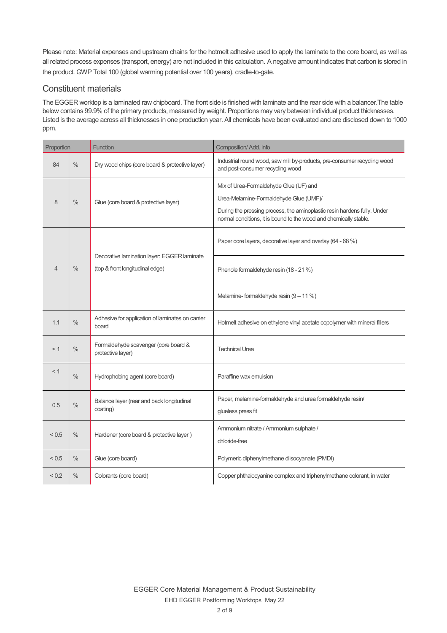Please note: Material expenses and upstream chains for the hotmelt adhesive used to apply the laminate to the core board, as well as all related process expenses (transport, energy) are not included in this calculation. A negative amount indicates that carbon is stored in the product. GWP Total 100 (global warming potential over 100 years), cradle-to-gate.

### Constituent materials

The EGGER worktop is a laminated raw chipboard. The front side is finished with laminate and the rear side with a balancer.The table below contains 99.9% of the primary products, measured by weight. Proportions may vary between individual product thicknesses. Listed is the average across all thicknesses in one production year. All chemicals have been evaluated and are disclosed down to 1000 ppm.

| Proportion |               | <b>Function</b>                                                                | Composition/ Add. info                                                                                                                                                                                                            |
|------------|---------------|--------------------------------------------------------------------------------|-----------------------------------------------------------------------------------------------------------------------------------------------------------------------------------------------------------------------------------|
| 84         | $\frac{0}{0}$ | Dry wood chips (core board & protective layer)                                 | Industrial round wood, saw mill by-products, pre-consumer recycling wood<br>and post-consumer recycling wood                                                                                                                      |
| 8          | $\frac{0}{0}$ | Glue (core board & protective layer)                                           | Mix of Urea-Formaldehyde Glue (UF) and<br>Urea-Melamine-Formaldehyde Glue (UMF)/<br>During the pressing process, the aminoplastic resin hardens fully. Under<br>normal conditions, it is bound to the wood and chemically stable. |
|            |               |                                                                                | Paper core layers, decorative layer and overlay (64 - 68 %)                                                                                                                                                                       |
| 4          | $\frac{0}{0}$ | Decorative lamination layer: EGGER laminate<br>(top & front longitudinal edge) | Phenole formaldehyde resin (18 - 21 %)                                                                                                                                                                                            |
|            |               |                                                                                | Melamine-formaldehyde resin $(9 - 11\%)$                                                                                                                                                                                          |
| 1.1        | $\%$          | Adhesive for application of laminates on carrier<br>board                      | Hotmelt adhesive on ethylene vinyl acetate copolymer with mineral fillers                                                                                                                                                         |
| < 1        | $\frac{0}{0}$ | Formaldehyde scavenger (core board &<br>protective layer)                      | <b>Technical Urea</b>                                                                                                                                                                                                             |
| < 1        | $\frac{0}{0}$ | Hydrophobing agent (core board)                                                | Paraffine wax emulsion                                                                                                                                                                                                            |
| 0.5        | $\%$          | Balance layer (rear and back longitudinal<br>coating)                          | Paper, melamine-formaldehyde and urea formaldehyde resin/<br>glueless press fit                                                                                                                                                   |
| < 0.5      | $\%$          | Hardener (core board & protective layer)                                       | Ammonium nitrate / Ammonium sulphate /<br>chloride-free                                                                                                                                                                           |
| < 0.5      | $\frac{0}{0}$ | Glue (core board)                                                              | Polymeric diphenylmethane diisocyanate (PMDI)                                                                                                                                                                                     |
| ${}_{0.2}$ | $\%$          | Colorants (core board)                                                         | Copper phthalocyanine complex and triphenylmethane colorant, in water                                                                                                                                                             |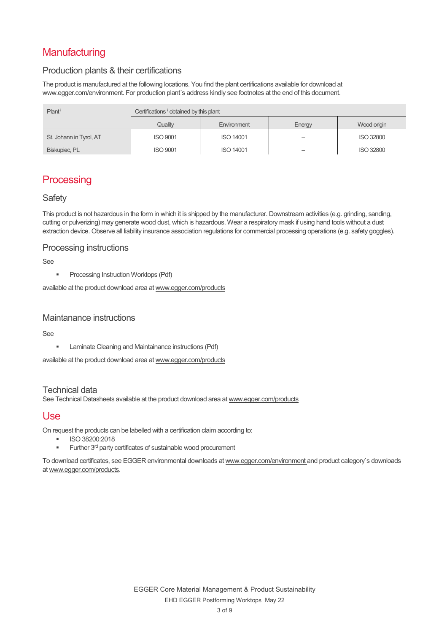# **Manufacturing**

### Production plants & their certifications

The product is manufactured at the following locations. You find the plant certifications available for download at www.egger.com/environment. For production plant's address kindly see footnotes at the end of this document.

| Plant <sup>i</sup>      | Certifications i obtained by this plant |                  |        |                  |
|-------------------------|-----------------------------------------|------------------|--------|------------------|
|                         | Quality                                 | Environment      | Energy | Wood origin      |
| St. Johann in Tyrol, AT | <b>ISO 9001</b>                         | <b>ISO 14001</b> |        | <b>ISO 32800</b> |
| Biskupiec, PL           | <b>ISO 9001</b>                         | <b>ISO 14001</b> |        | <b>ISO 32800</b> |

# **Processing**

### **Safety**

This product is not hazardous in the form in which it is shipped by the manufacturer. Downstream activities (e.g. grinding, sanding, cutting or pulverizing) may generate wood dust, which is hazardous. Wear a respiratory mask if using hand tools without a dust extraction device. Observe all liability insurance association regulations for commercial processing operations (e.g. safety goggles).

### Processing instructions

See

**Processing Instruction Worktops (Pdf)** 

available at the product download area at www.egger.com/products

### Maintanance instructions

See

**EXECUTE:** Laminate Cleaning and Maintainance instructions (Pdf)

available at the product download area at www.egger.com/products

### Technical data

See Technical Datasheets available at the product download area at www.egger.com/products

### Use

On request the products can be labelled with a certification claim according to:

- ISO 38200:2018
- Further 3<sup>rd</sup> party certificates of sustainable wood procurement

To download certificates, see EGGER environmental downloads at www.egger.com/environment and product category`s downloads at www.egger.com/products.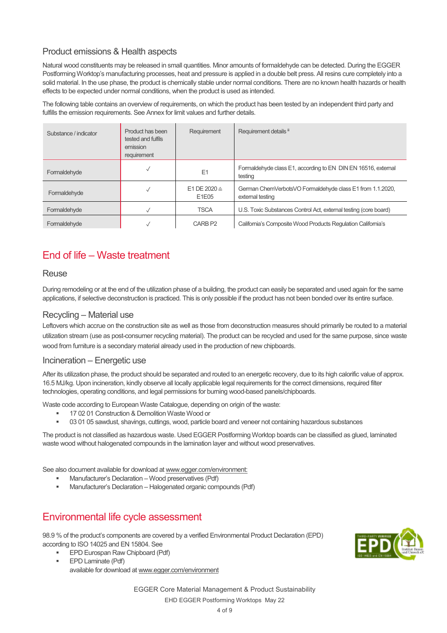### Product emissions & Health aspects

Natural wood constituents may be released in small quantities. Minor amounts of formaldehyde can be detected. During the EGGER Postforming Worktop's manufacturing processes, heat and pressure is applied in a double belt press. All resins cure completely into a solid material. In the use phase, the product is chemically stable under normal conditions. There are no known health hazards or health effects to be expected under normal conditions, when the product is used as intended.

The following table contains an overview of requirements, on which the product has been tested by an independent third party and fulfills the emission requirements. See Annex for limit values and further details.

| Substance / indicator | Product has been<br>tested and fulfils<br>emission<br>requirement | Requirement                      | Requirement details ii                                                        |
|-----------------------|-------------------------------------------------------------------|----------------------------------|-------------------------------------------------------------------------------|
| Formaldehyde          |                                                                   | E1                               | Formaldehyde class E1, according to EN DIN EN 16516, external<br>testing      |
| Formaldehyde          |                                                                   | E1 DE 2020 $\triangleq$<br>E1E05 | German ChemVerbotsVO Formaldehyde class E1 from 1.1.2020,<br>external testing |
| Formaldehyde          |                                                                   | <b>TSCA</b>                      | U.S. Toxic Substances Control Act, external testing (core board)              |
| Formaldehyde          |                                                                   | CARB <sub>P2</sub>               | California's Composite Wood Products Regulation California's                  |

## End of life – Waste treatment

### Reuse

During remodeling or at the end of the utilization phase of a building, the product can easily be separated and used again for the same applications, if selective deconstruction is practiced. This is only possible if the product has not been bonded over its entire surface.

### Recycling – Material use

Leftovers which accrue on the construction site as well as those from deconstruction measures should primarily be routed to a material utilization stream (use as post-consumer recycling material). The product can be recycled and used for the same purpose, since waste wood from furniture is a secondary material already used in the production of new chipboards.

#### Incineration – Energetic use

After its utilization phase, the product should be separated and routed to an energetic recovery, due to its high calorific value of approx. 16.5 MJ/kg. Upon incineration, kindly observe all locally applicable legal requirements for the correct dimensions, required filter technologies, operating conditions, and legal permissions for burning wood-based panels/chipboards.

Waste code according to European Waste Catalogue, depending on origin of the waste:

- 17 02 01 Construction & Demolition Waste Wood or
- 03 01 05 sawdust, shavings, cuttings, wood, particle board and veneer not containing hazardous substances

The product is not classified as hazardous waste. Used EGGER Postforming Worktop boards can be classified as glued, laminated waste wood without halogenated compounds in the lamination layer and without wood preservatives.

See also document available for download at www.egger.com/environment:

- Manufacturer's Declaration Wood preservatives (Pdf)
- Manufacturer's Declaration Halogenated organic compounds (Pdf)

# Environmental life cycle assessment

98.9 % of the product's components are covered by a verified Environmental Product Declaration (EPD) according to ISO 14025 and EN 15804. See

- EPD Eurospan Raw Chipboard (Pdf) EPD Laminate (Pdf)
	- available for download at www.egger.com/environment

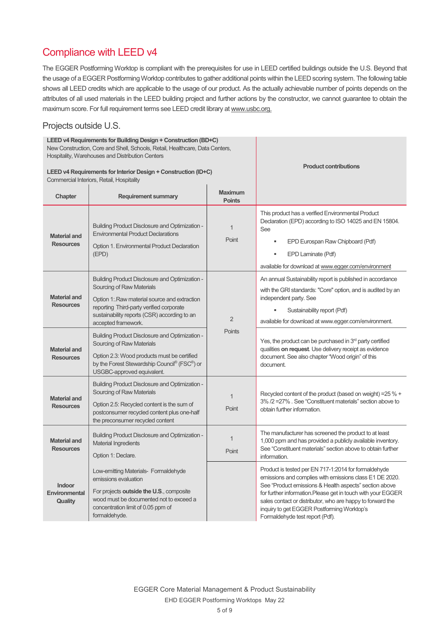# Compliance with LEED v4

The EGGER Postforming Worktop is compliant with the prerequisites for use in LEED certified buildings outside the U.S. Beyond that the usage of a EGGER Postforming Worktop contributes to gather additional points within the LEED scoring system. The following table shows all LEED credits which are applicable to the usage of our product. As the actually achievable number of points depends on the attributes of all used materials in the LEED building project and further actions by the constructor, we cannot guarantee to obtain the maximum score. For full requirement terms see LEED credit library at www.usbc.org.

### Projects outside U.S.

| LEED v4 Requirements for Building Design + Construction (BD+C)<br>New Construction, Core and Shell, Schools, Retail, Healthcare, Data Centers,<br>Hospitality, Warehouses and Distribution Centers<br>LEED v4 Requirements for Interior Design + Construction (ID+C)<br>Commercial Interiors, Retail, Hospitality |                                                                                                                                                                                                                                                       | <b>Product contributions</b>    |                                                                                                                                                                                                                                                                                                                                                                                         |
|-------------------------------------------------------------------------------------------------------------------------------------------------------------------------------------------------------------------------------------------------------------------------------------------------------------------|-------------------------------------------------------------------------------------------------------------------------------------------------------------------------------------------------------------------------------------------------------|---------------------------------|-----------------------------------------------------------------------------------------------------------------------------------------------------------------------------------------------------------------------------------------------------------------------------------------------------------------------------------------------------------------------------------------|
| Chapter                                                                                                                                                                                                                                                                                                           | <b>Requirement summary</b>                                                                                                                                                                                                                            | <b>Maximum</b><br><b>Points</b> |                                                                                                                                                                                                                                                                                                                                                                                         |
| <b>Material and</b><br><b>Resources</b>                                                                                                                                                                                                                                                                           | <b>Building Product Disclosure and Optimization -</b><br><b>Environmental Product Declarations</b><br>Option 1. Environmental Product Declaration<br>(EPD)                                                                                            | $\mathbf{1}$<br>Point           | This product has a verified Environmental Product<br>Declaration (EPD) according to ISO 14025 and EN 15804.<br>See<br>EPD Eurospan Raw Chipboard (Pdf)<br>EPD Laminate (Pdf)<br>available for download at www.egger.com/environment                                                                                                                                                     |
| <b>Material and</b><br><b>Resources</b>                                                                                                                                                                                                                                                                           | <b>Building Product Disclosure and Optimization -</b><br>Sourcing of Raw Materials<br>Option 1: Raw material source and extraction<br>reporting Third-party verified corporate<br>sustainability reports (CSR) according to an<br>accepted framework. | 2<br><b>Points</b>              | An annual Sustainability report is published in accordance<br>with the GRI standards: "Core" option, and is audited by an<br>independent party. See<br>Sustainability report (Pdf)<br>available for download at www.egger.com/environment.                                                                                                                                              |
| <b>Material and</b><br><b>Resources</b>                                                                                                                                                                                                                                                                           | <b>Building Product Disclosure and Optimization -</b><br>Sourcing of Raw Materials<br>Option 2.3: Wood products must be certified<br>by the Forest Stewardship Council® (FSC®) or<br>USGBC-approved equivalent.                                       |                                 | Yes, the product can be purchased in $3rd$ party certified<br>qualities on request. Use delivery receipt as evidence<br>document. See also chapter "Wood origin" of this<br>document.                                                                                                                                                                                                   |
| <b>Material and</b><br><b>Resources</b>                                                                                                                                                                                                                                                                           | <b>Building Product Disclosure and Optimization -</b><br>Sourcing of Raw Materials<br>Option 2.5: Recycled content is the sum of<br>postconsumer recycled content plus one-half<br>the preconsumer recycled content                                   | $\mathbf 1$<br>Point            | Recycled content of the product (based on weight) = 25 % +<br>3% /2 = 27% . See "Constituent materials" section above to<br>obtain further information.                                                                                                                                                                                                                                 |
| <b>Material and</b><br><b>Resources</b>                                                                                                                                                                                                                                                                           | <b>Building Product Disclosure and Optimization -</b><br>Material Ingredients<br>Option 1: Declare.                                                                                                                                                   | $\mathbf 1$<br>Point            | The manufacturer has screened the product to at least<br>1,000 ppm and has provided a publicly available inventory.<br>See "Constituent materials" section above to obtain further<br>information.                                                                                                                                                                                      |
| Indoor<br><b>Environmental</b><br>Quality                                                                                                                                                                                                                                                                         | Low-emitting Materials- Formaldehyde<br>emissions evaluation<br>For projects outside the U.S., composite<br>wood must be documented not to exceed a<br>concentration limit of 0.05 ppm of<br>formaldehyde.                                            |                                 | Product is tested per EN 717-1:2014 for formaldehyde<br>emissions and complies with emissions class E1 DE 2020.<br>See "Product emissions & Health aspects" section above<br>for further information.Please get in touch with your EGGER<br>sales contact or distributor, who are happy to forward the<br>inquiry to get EGGER Postforming Worktop's<br>Formaldehyde test report (Pdf). |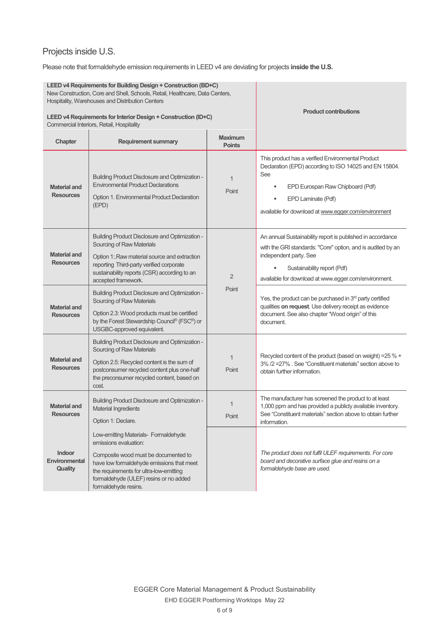# Projects inside U.S.

Please note that formaldehyde emission requirements in LEED v4 are deviating for projects **inside the U.S.**

| LEED v4 Requirements for Building Design + Construction (BD+C)<br>New Construction, Core and Shell, Schools, Retail, Healthcare, Data Centers,<br>Hospitality, Warehouses and Distribution Centers<br>LEED v4 Requirements for Interior Design + Construction (ID+C) |                                                                                                                                                                                                                                                                 |                                 | <b>Product contributions</b>                                                                                                                                                                                                               |
|----------------------------------------------------------------------------------------------------------------------------------------------------------------------------------------------------------------------------------------------------------------------|-----------------------------------------------------------------------------------------------------------------------------------------------------------------------------------------------------------------------------------------------------------------|---------------------------------|--------------------------------------------------------------------------------------------------------------------------------------------------------------------------------------------------------------------------------------------|
|                                                                                                                                                                                                                                                                      | Commercial Interiors, Retail, Hospitality                                                                                                                                                                                                                       |                                 |                                                                                                                                                                                                                                            |
| Chapter                                                                                                                                                                                                                                                              | <b>Requirement summary</b>                                                                                                                                                                                                                                      | <b>Maximum</b><br><b>Points</b> |                                                                                                                                                                                                                                            |
| <b>Material and</b><br><b>Resources</b>                                                                                                                                                                                                                              | <b>Building Product Disclosure and Optimization -</b><br><b>Environmental Product Declarations</b><br>Option 1. Environmental Product Declaration<br>(EPD)                                                                                                      | $\mathbf{1}$<br>Point           | This product has a verified Environmental Product<br>Declaration (EPD) according to ISO 14025 and EN 15804.<br>See<br>EPD Eurospan Raw Chipboard (Pdf)<br>٠<br>EPD Laminate (Pdf)<br>available for download at www.egger.com/environment   |
| <b>Material and</b><br><b>Resources</b>                                                                                                                                                                                                                              | <b>Building Product Disclosure and Optimization -</b><br>Sourcing of Raw Materials<br>Option 1: Raw material source and extraction<br>reporting Third-party verified corporate<br>sustainability reports (CSR) according to an<br>accepted framework.           | $\overline{2}$                  | An annual Sustainability report is published in accordance<br>with the GRI standards: "Core" option, and is audited by an<br>independent party. See<br>Sustainability report (Pdf)<br>available for download at www.egger.com/environment. |
| <b>Material and</b><br><b>Resources</b>                                                                                                                                                                                                                              | <b>Building Product Disclosure and Optimization -</b><br>Sourcing of Raw Materials<br>Option 2.3: Wood products must be certified<br>by the Forest Stewardship Council® (FSC®) or<br>USGBC-approved equivalent.                                                 | Point                           | Yes, the product can be purchased in 3 <sup>rd</sup> party certified<br>qualities on request. Use delivery receipt as evidence<br>document. See also chapter "Wood origin" of this<br>document.                                            |
| <b>Material and</b><br><b>Resources</b>                                                                                                                                                                                                                              | <b>Building Product Disclosure and Optimization -</b><br>Sourcing of Raw Materials<br>Option 2.5: Recycled content is the sum of<br>postconsumer recycled content plus one-half<br>the preconsumer recycled content, based on<br>cost.                          | $\mathbf{1}$<br>Point           | Recycled content of the product (based on weight) = 25 % +<br>3% /2 = 27% . See "Constituent materials" section above to<br>obtain further information.                                                                                    |
| Material and<br><b>Resources</b>                                                                                                                                                                                                                                     | <b>Building Product Disclosure and Optimization -</b><br><b>Material Ingredients</b><br>Option 1: Declare.                                                                                                                                                      | $\mathbf{1}$<br>Point           | The manufacturer has screened the product to at least<br>1,000 ppm and has provided a publicly available inventory.<br>See "Constituent materials" section above to obtain further<br>information.                                         |
| <b>Indoor</b><br><b>Environmental</b><br><b>Quality</b>                                                                                                                                                                                                              | Low-emitting Materials- Formaldehyde<br>emissions evaluation:<br>Composite wood must be documented to<br>have low formaldehyde emissions that meet<br>the requirements for ultra-low-emitting<br>formaldehyde (ULEF) resins or no added<br>formaldehyde resins. |                                 | The product does not fulfil ULEF requirements. For core<br>board and decorative surface glue and resins on a<br>formaldehyde base are used.                                                                                                |

EGGER Core Material Management & Product Sustainability EHD EGGER Postforming Worktops May 22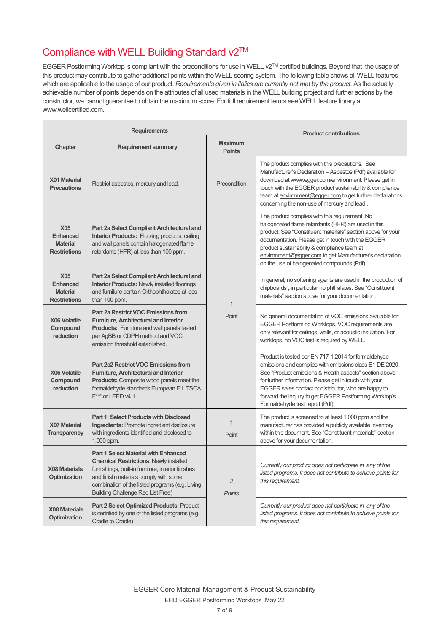# Compliance with WELL Building Standard v2™

EGGER Postforming Worktop is compliant with the preconditions for use in WELL v2TM certified buildings. Beyond that the usage of this product may contribute to gather additional points within the WELL scoring system. The following table shows all WELL features which are applicable to the usage of our product. *Requirements given in italics are currently not met by the product.* As the actually achievable number of points depends on the attributes of all used materials in the WELL building project and further actions by the constructor, we cannot guarantee to obtain the maximum score. For full requirement terms see WELL feature library at www.wellcertified.com.

 $\mathbf{L}$ 

| <b>Requirements</b>                                                     |                                                                                                                                                                                                                                                                                            | <b>Product contributions</b>    |                                                                                                                                                                                                                                                                                                                                                                                          |
|-------------------------------------------------------------------------|--------------------------------------------------------------------------------------------------------------------------------------------------------------------------------------------------------------------------------------------------------------------------------------------|---------------------------------|------------------------------------------------------------------------------------------------------------------------------------------------------------------------------------------------------------------------------------------------------------------------------------------------------------------------------------------------------------------------------------------|
| Chapter                                                                 | <b>Requirement summary</b>                                                                                                                                                                                                                                                                 | <b>Maximum</b><br><b>Points</b> |                                                                                                                                                                                                                                                                                                                                                                                          |
| X01 Material<br><b>Precautions</b>                                      | Restrict asbestos, mercury and lead.                                                                                                                                                                                                                                                       | Precondition                    | The product complies with this precautions. See<br>Manufacturer's Declaration - Asbestos (Pdf) available for<br>download at www.egger.com/environment. Please get in<br>touch with the EGGER product sustainability & compliance<br>team at environment@egger.com to get further declarations<br>concerning the non-use of mercury and lead.                                             |
| <b>X05</b><br><b>Enhanced</b><br><b>Material</b><br><b>Restrictions</b> | Part 2a Select Compliant Architectural and<br><b>Interior Products:</b> Flooring products, ceiling<br>and wall panels contain halogenated flame<br>retardants (HFR) at less than 100 ppm.                                                                                                  |                                 | The product complies with this requirement. No<br>halogenated flame retardants (HFR) are used in this<br>product. See "Constituent materials" section above for your<br>documentation. Please get in touch with the EGGER<br>product sustainability & compliance team at<br>environment@egger.com to get Manufacturer's declaration<br>on the use of halogenated compounds (Pdf).        |
| <b>X05</b><br>Enhanced<br><b>Material</b><br><b>Restrictions</b>        | Part 2a Select Compliant Architectural and<br><b>Interior Products: Newly installed floorings</b><br>and furniture contain Orthophthalates at less<br>than 100 ppm.                                                                                                                        | $\mathbf{1}$                    | In general, no softening agents are used in the production of<br>chipboards, in particular no phthalates. See "Constituent<br>materials" section above for your documentation.                                                                                                                                                                                                           |
| <b>X06 Volatile</b><br>Compound<br>reduction                            | <b>Part 2a Restrict VOC Emissions from</b><br>Furniture, Architectural and Interior<br><b>Products:</b> Furniture and wall panels tested<br>per AgBB or CDPH method and VOC<br>emission threshold established.                                                                             | Point                           | No general documentation of VOC emissions available for<br>EGGER Postforming Worktops. VOC requirements are<br>only relevant for ceilings, walls, or acoustic insulation. For<br>worktops, no VOC test is required by WELL.                                                                                                                                                              |
| <b>X06 Volatile</b><br>Compound<br>reduction                            | <b>Part 2c2 Restrict VOC Emissions from</b><br>Furniture, Architectural and Interior<br>Products: Composite wood panels meet the<br>formaldehyde standards European E1, TSCA,<br>F*** or LEED v4.1                                                                                         |                                 | Product is tested per EN 717-1:2014 for formaldehyde<br>emissions and complies with emissions class E1 DE 2020.<br>See "Product emissions & Health aspects" section above<br>for further information. Please get in touch with your<br>EGGER sales contact or distributor, who are happy to<br>forward the inquiry to get EGGER Postforming Worktop's<br>Formaldehyde test report (Pdf). |
| <b>X07 Material</b><br><b>Transparency</b>                              | <b>Part 1: Select Products with Disclosed</b><br>Ingredients: Promote ingredient disclosure<br>with ingredients identified and disclosed to<br>1,000 ppm.                                                                                                                                  | $\overline{1}$<br>Point         | The product is screened to at least 1,000 ppm and the<br>manufacturer has provided a publicly available inventory<br>within this document. See "Constituent materials" section<br>above for your documentation.                                                                                                                                                                          |
| <b>X08 Materials</b><br><b>Optimization</b>                             | <b>Part 1 Select Material with Enhanced</b><br><b>Chemical Restrictions: Newly installed</b><br>furnishings, built-in furniture, interior finishes<br>and finish materials comply with some<br>combination of the listed programs (e.g. Living<br><b>Building Challenge Red List Free)</b> | $\overline{2}$<br>Points        | Currently our product does not participate in any of the<br>listed programs. It does not contribute to achieve points for<br>this requirement.                                                                                                                                                                                                                                           |
| <b>X08 Materials</b><br>Optimization                                    | Part 2 Select Optimized Products: Product<br>is certrified by one of the listed programs (e.g.<br>Cradle to Cradle)                                                                                                                                                                        |                                 | Currently our product does not participate in any of the<br>listed programs. It does not contribute to achieve points for<br>this requirement.                                                                                                                                                                                                                                           |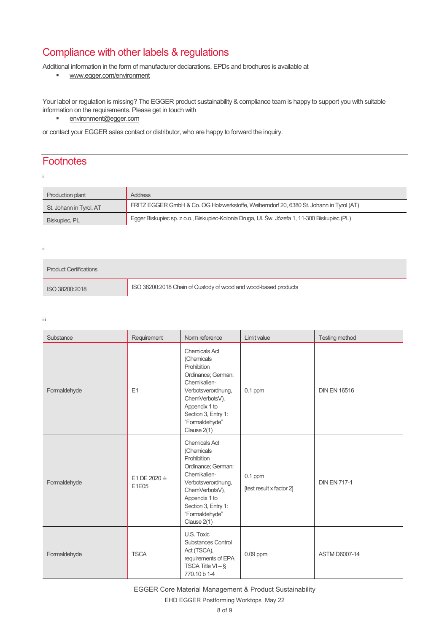# Compliance with other labels & regulations

Additional information in the form of manufacturer declarations, EPDs and brochures is available at

www.egger.com/environment

Your label or regulation is missing? The EGGER product sustainability & compliance team is happy to support you with suitable information on the requirements. Please get in touch with

environment@egger.com

or contact your EGGER sales contact or distributor, who are happy to forward the inquiry.

### **Footnotes**

| Production plant        | <b>Address</b>                                                                               |
|-------------------------|----------------------------------------------------------------------------------------------|
| St. Johann in Tyrol, AT | FRITZ EGGER GmbH & Co. OG Holzwerkstoffe, Weiberndorf 20, 6380 St. Johann in Tyrol (AT)      |
| Biskupiec, PL           | Egger Biskupiec sp. z o.o., Biskupiec-Kolonia Druga, Ul. Św. Józefa 1, 11-300 Biskupiec (PL) |

ii

| <b>Product Certifications</b> |                                                                 |
|-------------------------------|-----------------------------------------------------------------|
| ISO 38200:2018                | ISO 38200:2018 Chain of Custody of wood and wood-based products |

iii

| Substance    | Requirement                      | Norm reference                                                                                                                                                                                           | Limit value                           | Testing method       |
|--------------|----------------------------------|----------------------------------------------------------------------------------------------------------------------------------------------------------------------------------------------------------|---------------------------------------|----------------------|
| Formaldehyde | E1                               | <b>Chemicals Act</b><br>(Chemicals<br>Prohibition<br>Ordinance; German:<br>Chemikalien-<br>Verbotsverordnung,<br>ChemVerbotsV),<br>Appendix 1 to<br>Section 3, Entry 1:<br>"Formaldehyde"<br>Clause 2(1) | $0.1$ ppm                             | <b>DIN EN 16516</b>  |
| Formaldehyde | E1 DE 2020 $\triangleq$<br>E1E05 | <b>Chemicals Act</b><br>(Chemicals<br>Prohibition<br>Ordinance; German:<br>Chemikalien-<br>Verbotsverordnung,<br>ChemVerbotsV),<br>Appendix 1 to<br>Section 3, Entry 1:<br>"Formaldehyde"<br>Clause 2(1) | $0.1$ ppm<br>[test result x factor 2] | <b>DIN EN 717-1</b>  |
| Formaldehyde | <b>TSCA</b>                      | U.S. Toxic<br><b>Substances Control</b><br>Act (TSCA),<br>requirements of EPA<br>TSCA Title $VI - §$<br>770.10 b 1-4                                                                                     | $0.09$ ppm                            | <b>ASTM D6007-14</b> |

EGGER Core Material Management & Product Sustainability

EHD EGGER Postforming Worktops May 22